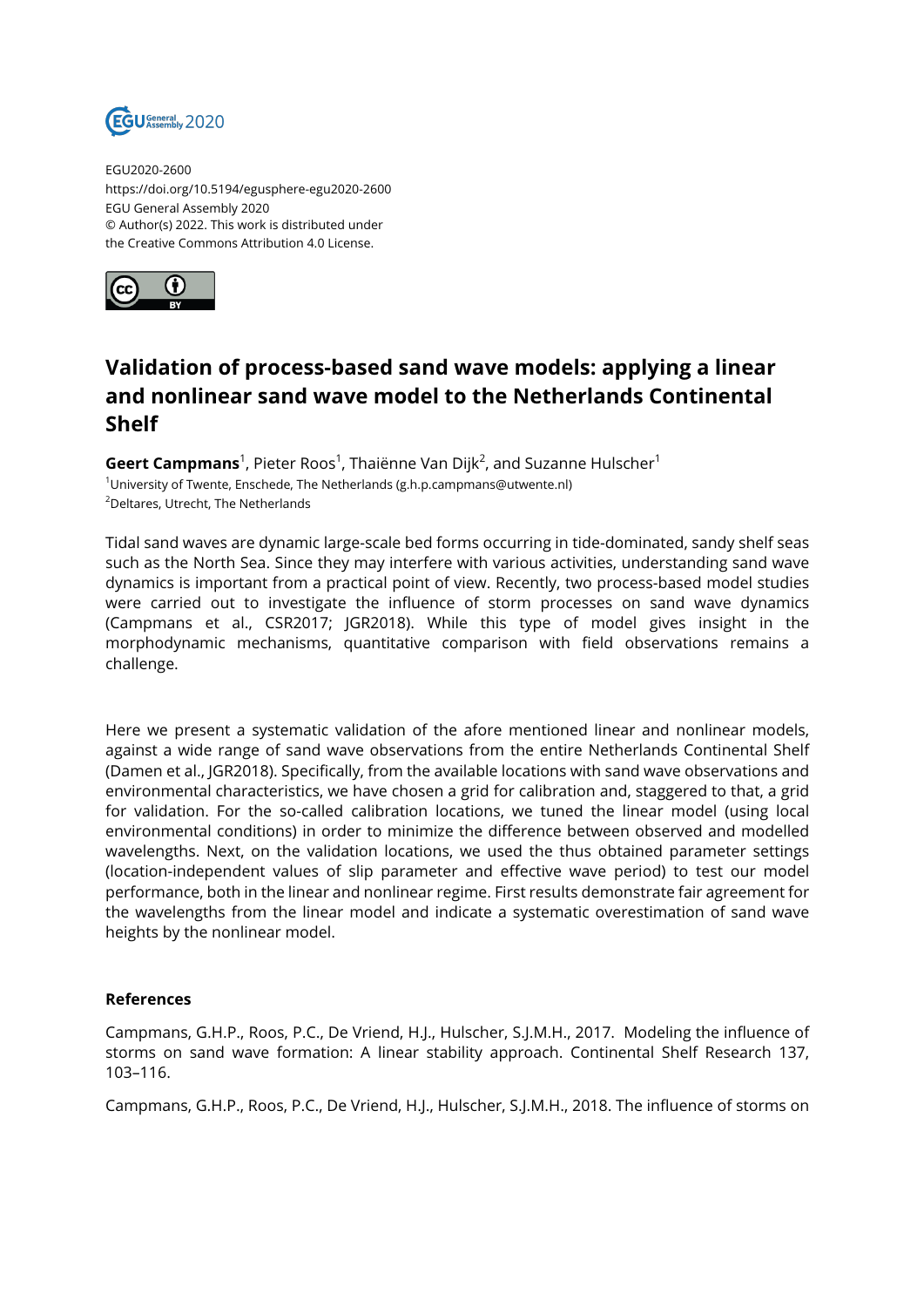

EGU2020-2600 https://doi.org/10.5194/egusphere-egu2020-2600 EGU General Assembly 2020 © Author(s) 2022. This work is distributed under the Creative Commons Attribution 4.0 License.



## **Validation of process-based sand wave models: applying a linear and nonlinear sand wave model to the Netherlands Continental Shelf**

**Geert Campmans**<sup>1</sup>, Pieter Roos<sup>1</sup>, Thaiënne Van Dijk<sup>2</sup>, and Suzanne Hulscher<sup>1</sup> <sup>1</sup>University of Twente, Enschede, The Netherlands (g.h.p.campmans@utwente.nl) <sup>2</sup>Deltares, Utrecht, The Netherlands

Tidal sand waves are dynamic large-scale bed forms occurring in tide-dominated, sandy shelf seas such as the North Sea. Since they may interfere with various activities, understanding sand wave dynamics is important from a practical point of view. Recently, two process-based model studies were carried out to investigate the influence of storm processes on sand wave dynamics (Campmans et al., CSR2017; JGR2018). While this type of model gives insight in the morphodynamic mechanisms, quantitative comparison with field observations remains a challenge.

Here we present a systematic validation of the afore mentioned linear and nonlinear models, against a wide range of sand wave observations from the entire Netherlands Continental Shelf (Damen et al., JGR2018). Specifically, from the available locations with sand wave observations and environmental characteristics, we have chosen a grid for calibration and, staggered to that, a grid for validation. For the so-called calibration locations, we tuned the linear model (using local environmental conditions) in order to minimize the difference between observed and modelled wavelengths. Next, on the validation locations, we used the thus obtained parameter settings (location-independent values of slip parameter and effective wave period) to test our model performance, both in the linear and nonlinear regime. First results demonstrate fair agreement for the wavelengths from the linear model and indicate a systematic overestimation of sand wave heights by the nonlinear model.

## **References**

Campmans, G.H.P., Roos, P.C., De Vriend, H.J., Hulscher, S.J.M.H., 2017. Modeling the influence of storms on sand wave formation: A linear stability approach. Continental Shelf Research 137, 103–116.

Campmans, G.H.P., Roos, P.C., De Vriend, H.J., Hulscher, S.J.M.H., 2018. The influence of storms on